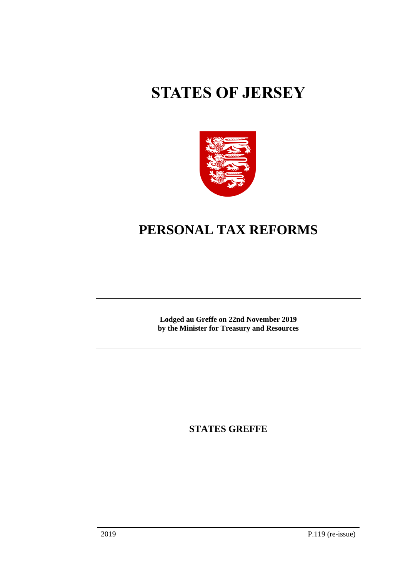# **STATES OF JERSEY**



## **PERSONAL TAX REFORMS**

**Lodged au Greffe on 22nd November 2019 by the Minister for Treasury and Resources**

**STATES GREFFE**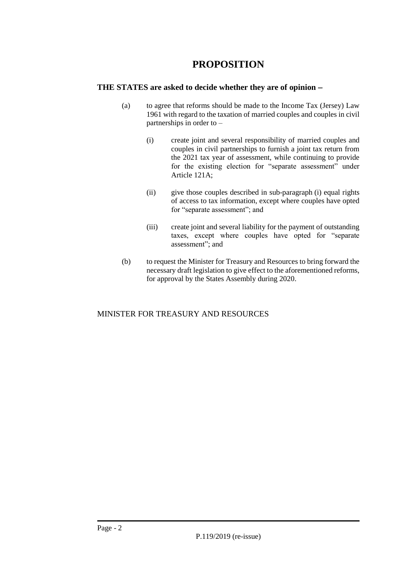### **PROPOSITION**

#### **THE STATES are asked to decide whether they are of opinion** −

- (a) to agree that reforms should be made to the Income Tax (Jersey) Law 1961 with regard to the taxation of married couples and couples in civil partnerships in order to –
	- (i) create joint and several responsibility of married couples and couples in civil partnerships to furnish a joint tax return from the 2021 tax year of assessment, while continuing to provide for the existing election for "separate assessment" under Article 121A;
	- (ii) give those couples described in sub-paragraph (i) equal rights of access to tax information, except where couples have opted for "separate assessment"; and
	- (iii) create joint and several liability for the payment of outstanding taxes, except where couples have opted for "separate assessment"; and
- (b) to request the Minister for Treasury and Resources to bring forward the necessary draft legislation to give effect to the aforementioned reforms, for approval by the States Assembly during 2020.

#### MINISTER FOR TREASURY AND RESOURCES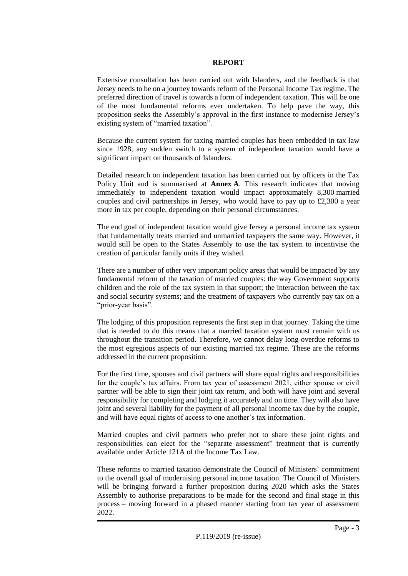#### **REPORT**

Extensive consultation has been carried out with Islanders, and the feedback is that Jersey needs to be on a journey towards reform of the Personal Income Tax regime. The preferred direction of travel is towards a form of independent taxation. This will be one of the most fundamental reforms ever undertaken. To help pave the way, this proposition seeks the Assembly's approval in the first instance to modernise Jersey's existing system of "married taxation".

Because the current system for taxing married couples has been embedded in tax law since 1928, any sudden switch to a system of independent taxation would have a significant impact on thousands of Islanders.

Detailed research on independent taxation has been carried out by officers in the Tax Policy Unit and is summarised at **Annex A**. This research indicates that moving immediately to independent taxation would impact approximately 8,300 married couples and civil partnerships in Jersey, who would have to pay up to  $\text{\pounds}2,300$  a year more in tax per couple, depending on their personal circumstances.

The end goal of independent taxation would give Jersey a personal income tax system that fundamentally treats married and unmarried taxpayers the same way. However, it would still be open to the States Assembly to use the tax system to incentivise the creation of particular family units if they wished.

There are a number of other very important policy areas that would be impacted by any fundamental reform of the taxation of married couples: the way Government supports children and the role of the tax system in that support; the interaction between the tax and social security systems; and the treatment of taxpayers who currently pay tax on a "prior-year basis".

The lodging of this proposition represents the first step in that journey. Taking the time that is needed to do this means that a married taxation system must remain with us throughout the transition period. Therefore, we cannot delay long overdue reforms to the most egregious aspects of our existing married tax regime. These are the reforms addressed in the current proposition.

For the first time, spouses and civil partners will share equal rights and responsibilities for the couple's tax affairs. From tax year of assessment 2021, either spouse or civil partner will be able to sign their joint tax return, and both will have joint and several responsibility for completing and lodging it accurately and on time. They will also have joint and several liability for the payment of all personal income tax due by the couple, and will have equal rights of access to one another's tax information.

Married couples and civil partners who prefer not to share these joint rights and responsibilities can elect for the "separate assessment" treatment that is currently available under Article 121A of the Income Tax Law.

These reforms to married taxation demonstrate the Council of Ministers' commitment to the overall goal of modernising personal income taxation. The Council of Ministers will be bringing forward a further proposition during 2020 which asks the States Assembly to authorise preparations to be made for the second and final stage in this process – moving forward in a phased manner starting from tax year of assessment 2022.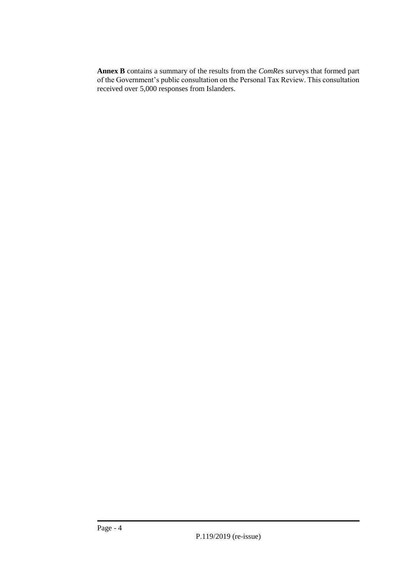**Annex B** contains a summary of the results from the *ComRes* surveys that formed part of the Government's public consultation on the Personal Tax Review. This consultation received over 5,000 responses from Islanders.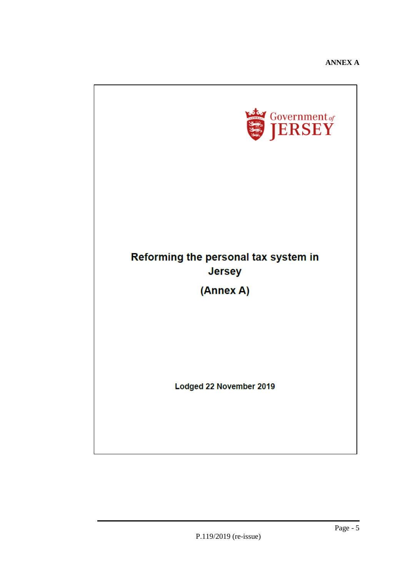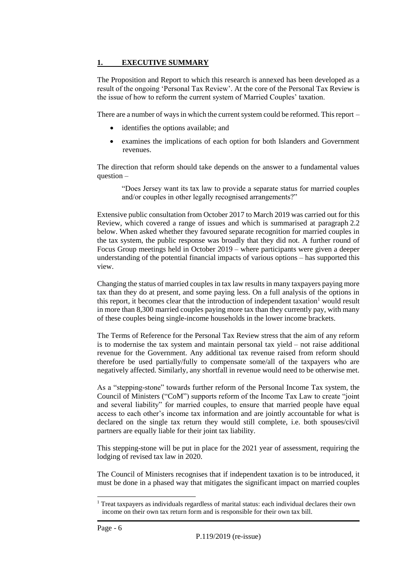#### **1. EXECUTIVE SUMMARY**

The Proposition and Report to which this research is annexed has been developed as a result of the ongoing 'Personal Tax Review'. At the core of the Personal Tax Review is the issue of how to reform the current system of Married Couples' taxation.

There are a number of ways in which the current system could be reformed. This report –

- identifies the options available; and
- examines the implications of each option for both Islanders and Government revenues.

The direction that reform should take depends on the answer to a fundamental values question –

"Does Jersey want its tax law to provide a separate status for married couples and/or couples in other legally recognised arrangements?"

Extensive public consultation from October 2017 to March 2019 was carried out for this Review, which covered a range of issues and which is summarised at paragraph 2.2 below. When asked whether they favoured separate recognition for married couples in the tax system, the public response was broadly that they did not. A further round of Focus Group meetings held in October 2019 – where participants were given a deeper understanding of the potential financial impacts of various options – has supported this view.

Changing the status of married couples in tax law results in many taxpayers paying more tax than they do at present, and some paying less. On a full analysis of the options in this report, it becomes clear that the introduction of independent taxation<sup>1</sup> would result in more than 8,300 married couples paying more tax than they currently pay, with many of these couples being single-income households in the lower income brackets.

The Terms of Reference for the Personal Tax Review stress that the aim of any reform is to modernise the tax system and maintain personal tax yield – not raise additional revenue for the Government. Any additional tax revenue raised from reform should therefore be used partially/fully to compensate some/all of the taxpayers who are negatively affected. Similarly, any shortfall in revenue would need to be otherwise met.

As a "stepping-stone" towards further reform of the Personal Income Tax system, the Council of Ministers ("CoM") supports reform of the Income Tax Law to create "joint and several liability" for married couples, to ensure that married people have equal access to each other's income tax information and are jointly accountable for what is declared on the single tax return they would still complete, i.e. both spouses/civil partners are equally liable for their joint tax liability.

This stepping-stone will be put in place for the 2021 year of assessment, requiring the lodging of revised tax law in 2020.

The Council of Ministers recognises that if independent taxation is to be introduced, it must be done in a phased way that mitigates the significant impact on married couples

1

<sup>&</sup>lt;sup>1</sup> Treat taxpayers as individuals regardless of marital status: each individual declares their own income on their own tax return form and is responsible for their own tax bill.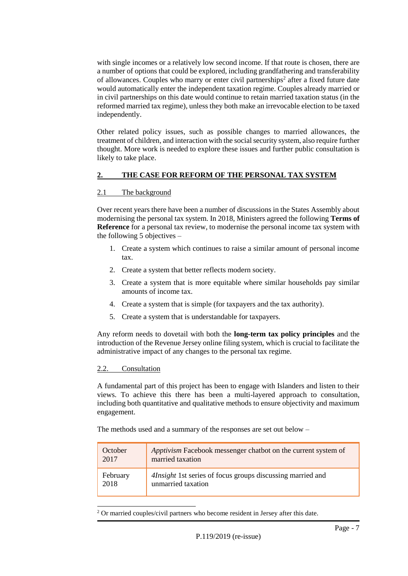with single incomes or a relatively low second income. If that route is chosen, there are a number of options that could be explored, including grandfathering and transferability of allowances. Couples who marry or enter civil partnerships<sup>2</sup> after a fixed future date would automatically enter the independent taxation regime. Couples already married or in civil partnerships on this date would continue to retain married taxation status (in the reformed married tax regime), unless they both make an irrevocable election to be taxed independently.

Other related policy issues, such as possible changes to married allowances, the treatment of children, and interaction with the social security system, also require further thought. More work is needed to explore these issues and further public consultation is likely to take place.

#### **2. THE CASE FOR REFORM OF THE PERSONAL TAX SYSTEM**

#### 2.1 The background

Over recent years there have been a number of discussions in the States Assembly about modernising the personal tax system. In 2018, Ministers agreed the following **Terms of Reference** for a personal tax review, to modernise the personal income tax system with the following 5 objectives –

- 1. Create a system which continues to raise a similar amount of personal income tax.
- 2. Create a system that better reflects modern society.
- 3. Create a system that is more equitable where similar households pay similar amounts of income tax.
- 4. Create a system that is simple (for taxpayers and the tax authority).
- 5. Create a system that is understandable for taxpayers.

Any reform needs to dovetail with both the **long-term tax policy principles** and the introduction of the Revenue Jersey online filing system, which is crucial to facilitate the administrative impact of any changes to the personal tax regime.

#### 2.2. Consultation

A fundamental part of this project has been to engage with Islanders and listen to their views. To achieve this there has been a multi-layered approach to consultation, including both quantitative and qualitative methods to ensure objectivity and maximum engagement.

The methods used and a summary of the responses are set out below –

| October  | Apptivism Facebook messenger chatbot on the current system of     |
|----------|-------------------------------------------------------------------|
| 2017     | married taxation                                                  |
| February | <i>Alnsight</i> 1st series of focus groups discussing married and |
| 2018     | unmarried taxation                                                |

-<sup>2</sup> Or married couples/civil partners who become resident in Jersey after this date.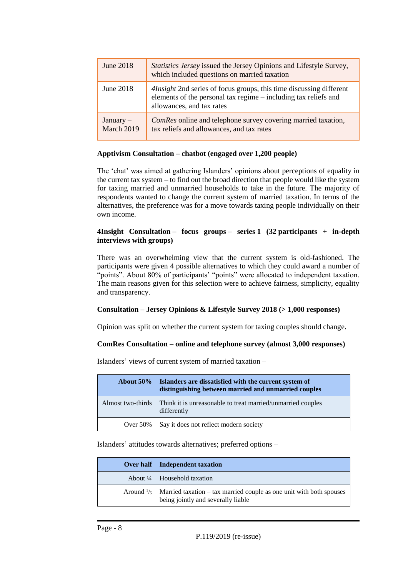| June $2018$               | <i>Statistics Jersey</i> issued the Jersey Opinions and Lifestyle Survey,<br>which included questions on married taxation                                                  |
|---------------------------|----------------------------------------------------------------------------------------------------------------------------------------------------------------------------|
| June 2018                 | <i>Alnsight</i> 2nd series of focus groups, this time discussing different<br>elements of the personal tax regime – including tax reliefs and<br>allowances, and tax rates |
| $January -$<br>March 2019 | ComRes online and telephone survey covering married taxation,<br>tax reliefs and allowances, and tax rates                                                                 |

#### **Apptivism Consultation – chatbot (engaged over 1,200 people)**

The 'chat' was aimed at gathering Islanders' opinions about perceptions of equality in the current tax system – to find out the broad direction that people would like the system for taxing married and unmarried households to take in the future. The majority of respondents wanted to change the current system of married taxation. In terms of the alternatives, the preference was for a move towards taxing people individually on their own income.

#### **4Insight Consultation – focus groups – series 1 (32 participants + in-depth interviews with groups)**

There was an overwhelming view that the current system is old-fashioned. The participants were given 4 possible alternatives to which they could award a number of "points". About 80% of participants' "points" were allocated to independent taxation. The main reasons given for this selection were to achieve fairness, simplicity, equality and transparency.

#### **Consultation – Jersey Opinions & Lifestyle Survey 2018 (> 1,000 responses)**

Opinion was split on whether the current system for taxing couples should change.

#### **ComRes Consultation – online and telephone survey (almost 3,000 responses)**

**About 50% Islanders are dissatisfied with the current system of distinguishing between married and unmarried couples** Almost two-thirds Think it is unreasonable to treat married/unmarried couples differently

Islanders' views of current system of married taxation –

Islanders' attitudes towards alternatives; preferred options –

Over 50% Say it does not reflect modern society

| Over half Independent taxation                                                                                                 |
|--------------------------------------------------------------------------------------------------------------------------------|
| About $\frac{1}{4}$ Household taxation                                                                                         |
| Around $\frac{1}{5}$ Married taxation – tax married couple as one unit with both spouses<br>being jointly and severally liable |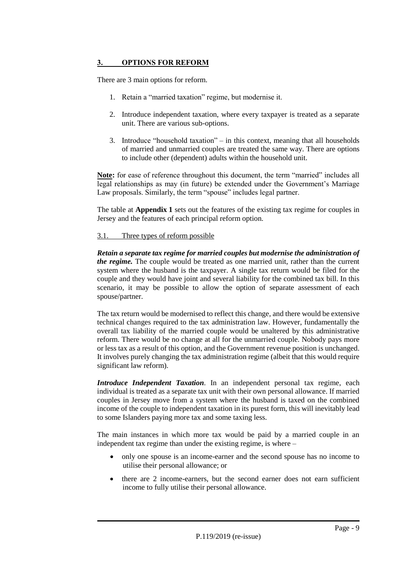#### **3. OPTIONS FOR REFORM**

There are 3 main options for reform.

- 1. Retain a "married taxation" regime, but modernise it.
- 2. Introduce independent taxation, where every taxpayer is treated as a separate unit. There are various sub-options.
- 3. Introduce "household taxation" in this context, meaning that all households of married and unmarried couples are treated the same way. There are options to include other (dependent) adults within the household unit.

**Note:** for ease of reference throughout this document, the term "married" includes all legal relationships as may (in future) be extended under the Government's Marriage Law proposals. Similarly, the term "spouse" includes legal partner.

The table at **Appendix 1** sets out the features of the existing tax regime for couples in Jersey and the features of each principal reform option.

#### 3.1. Three types of reform possible

*Retain a separate tax regime for married couples but modernise the administration of the regime.* The couple would be treated as one married unit, rather than the current system where the husband is the taxpayer. A single tax return would be filed for the couple and they would have joint and several liability for the combined tax bill. In this scenario, it may be possible to allow the option of separate assessment of each spouse/partner.

The tax return would be modernised to reflect this change, and there would be extensive technical changes required to the tax administration law. However, fundamentally the overall tax liability of the married couple would be unaltered by this administrative reform. There would be no change at all for the unmarried couple. Nobody pays more or less tax as a result of this option, and the Government revenue position is unchanged. It involves purely changing the tax administration regime (albeit that this would require significant law reform).

*Introduce Independent Taxation*. In an independent personal tax regime, each individual is treated as a separate tax unit with their own personal allowance. If married couples in Jersey move from a system where the husband is taxed on the combined income of the couple to independent taxation in its purest form, this will inevitably lead to some Islanders paying more tax and some taxing less.

The main instances in which more tax would be paid by a married couple in an independent tax regime than under the existing regime, is where –

- only one spouse is an income-earner and the second spouse has no income to utilise their personal allowance; or
- there are 2 income-earners, but the second earner does not earn sufficient income to fully utilise their personal allowance.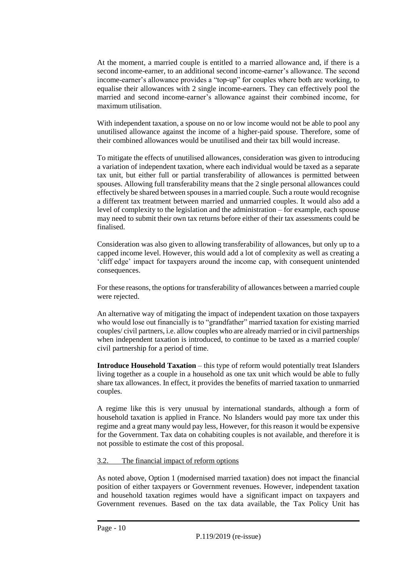At the moment, a married couple is entitled to a married allowance and, if there is a second income-earner, to an additional second income-earner's allowance. The second income-earner's allowance provides a "top-up" for couples where both are working, to equalise their allowances with 2 single income-earners. They can effectively pool the married and second income-earner's allowance against their combined income, for maximum utilisation.

With independent taxation, a spouse on no or low income would not be able to pool any unutilised allowance against the income of a higher-paid spouse. Therefore, some of their combined allowances would be unutilised and their tax bill would increase.

To mitigate the effects of unutilised allowances, consideration was given to introducing a variation of independent taxation, where each individual would be taxed as a separate tax unit, but either full or partial transferability of allowances is permitted between spouses. Allowing full transferability means that the 2 single personal allowances could effectively be shared between spouses in a married couple. Such a route would recognise a different tax treatment between married and unmarried couples. It would also add a level of complexity to the legislation and the administration – for example, each spouse may need to submit their own tax returns before either of their tax assessments could be finalised.

Consideration was also given to allowing transferability of allowances, but only up to a capped income level. However, this would add a lot of complexity as well as creating a 'cliff edge' impact for taxpayers around the income cap, with consequent unintended consequences.

For these reasons, the options for transferability of allowances between a married couple were rejected.

An alternative way of mitigating the impact of independent taxation on those taxpayers who would lose out financially is to "grandfather" married taxation for existing married couples/ civil partners, i.e. allow couples who are already married or in civil partnerships when independent taxation is introduced, to continue to be taxed as a married couple/ civil partnership for a period of time.

**Introduce Household Taxation** – this type of reform would potentially treat Islanders living together as a couple in a household as one tax unit which would be able to fully share tax allowances. In effect, it provides the benefits of married taxation to unmarried couples.

A regime like this is very unusual by international standards, although a form of household taxation is applied in France. No Islanders would pay more tax under this regime and a great many would pay less, However, for this reason it would be expensive for the Government. Tax data on cohabiting couples is not available, and therefore it is not possible to estimate the cost of this proposal.

#### 3.2. The financial impact of reform options

As noted above, Option 1 (modernised married taxation) does not impact the financial position of either taxpayers or Government revenues. However, independent taxation and household taxation regimes would have a significant impact on taxpayers and Government revenues. Based on the tax data available, the Tax Policy Unit has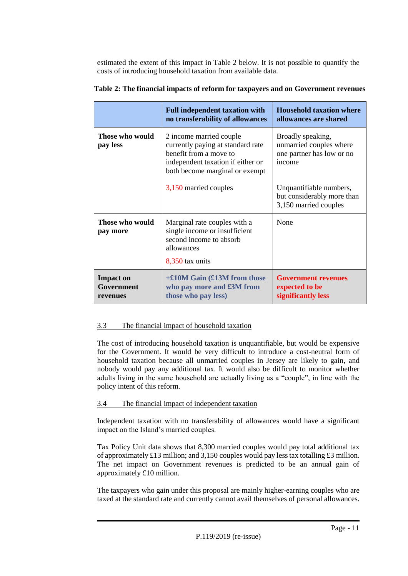estimated the extent of this impact in Table 2 below. It is not possible to quantify the costs of introducing household taxation from available data.

|                                            | <b>Full independent taxation with</b><br>no transferability of allowances                                                                                     | <b>Household taxation where</b><br>allowances are shared                            |
|--------------------------------------------|---------------------------------------------------------------------------------------------------------------------------------------------------------------|-------------------------------------------------------------------------------------|
| Those who would<br>pay less                | 2 income married couple<br>currently paying at standard rate<br>benefit from a move to<br>independent taxation if either or<br>both become marginal or exempt | Broadly speaking,<br>unmarried couples where<br>one partner has low or no<br>income |
|                                            | 3,150 married couples                                                                                                                                         | Unquantifiable numbers,<br>but considerably more than<br>3,150 married couples      |
| Those who would<br>pay more                | Marginal rate couples with a<br>single income or insufficient<br>second income to absorb<br>allowances<br>8,350 tax units                                     | None                                                                                |
| <b>Impact on</b><br>Government<br>revenues | $+£10M$ Gain (£13M from those<br>who pay more and £3M from<br>those who pay less)                                                                             | <b>Government revenues</b><br>expected to be<br>significantly less                  |

|  | Table 2: The financial impacts of reform for taxpayers and on Government revenues |
|--|-----------------------------------------------------------------------------------|
|--|-----------------------------------------------------------------------------------|

#### 3.3 The financial impact of household taxation

The cost of introducing household taxation is unquantifiable, but would be expensive for the Government. It would be very difficult to introduce a cost-neutral form of household taxation because all unmarried couples in Jersey are likely to gain, and nobody would pay any additional tax. It would also be difficult to monitor whether adults living in the same household are actually living as a "couple", in line with the policy intent of this reform.

#### 3.4 The financial impact of independent taxation

Independent taxation with no transferability of allowances would have a significant impact on the Island's married couples.

Tax Policy Unit data shows that 8,300 married couples would pay total additional tax of approximately £13 million; and 3,150 couples would pay less tax totalling £3 million. The net impact on Government revenues is predicted to be an annual gain of approximately £10 million.

The taxpayers who gain under this proposal are mainly higher-earning couples who are taxed at the standard rate and currently cannot avail themselves of personal allowances.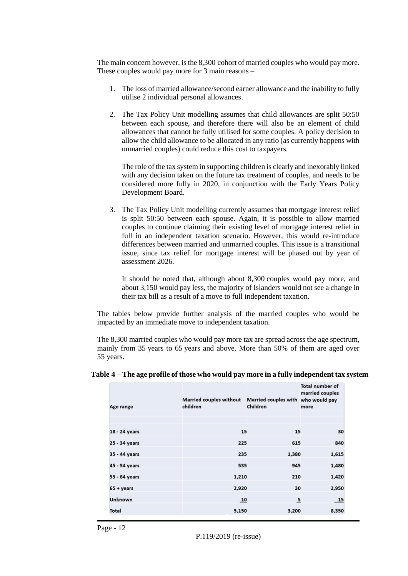The main concern however, is the 8,300 cohort of married couples who would pay more. These couples would pay more for 3 main reasons –

- 1. The loss of married allowance/second earner allowance and the inability to fully utilise 2 individual personal allowances.
- 2. The Tax Policy Unit modelling assumes that child allowances are split 50:50 between each spouse, and therefore there will also be an element of child allowances that cannot be fully utilised for some couples. A policy decision to allow the child allowance to be allocated in any ratio (as currently happens with unmarried couples) could reduce this cost to taxpayers.

The role of the tax system in supporting children is clearly and inexorably linked with any decision taken on the future tax treatment of couples, and needs to be considered more fully in 2020, in conjunction with the Early Years Policy Development Board.

3. The Tax Policy Unit modelling currently assumes that mortgage interest relief is split 50:50 between each spouse. Again, it is possible to allow married couples to continue claiming their existing level of mortgage interest relief in full in an independent taxation scenario. However, this would re-introduce differences between married and unmarried couples. This issue is a transitional issue, since tax relief for mortgage interest will be phased out by year of assessment 2026.

It should be noted that, although about 8,300 couples would pay more, and about 3,150 would pay less, the majority of Islanders would not see a change in their tax bill as a result of a move to full independent taxation.

The tables below provide further analysis of the married couples who would be impacted by an immediate move to independent taxation.

The 8,300 married couples who would pay more tax are spread across the age spectrum, mainly from 35 years to 65 years and above. More than 50% of them are aged over 55 years.

|                    | <b>Married couples without</b> | Married couples with who would pay | <b>Total number of</b><br>married couples |
|--------------------|--------------------------------|------------------------------------|-------------------------------------------|
| Age range          | children                       | Children                           | more                                      |
|                    |                                |                                    |                                           |
| 18 - 24 years      | 15                             | 15                                 | 30                                        |
| 25 - 34 years      | 225                            | 615                                | 840                                       |
| 35 - 44 years      | 235                            | 1,380                              | 1,615                                     |
| 45 - 54 years      | 535                            | 945                                | 1,480                                     |
| 55 - 64 years      | 1,210                          | 210                                | 1,420                                     |
| $65 + \gamma$ ears | 2,920                          | 30                                 | 2,950                                     |
| <b>Unknown</b>     | 10                             | $\overline{5}$                     | 15                                        |
| Total              | 5,150                          | 3,200                              | 8,350                                     |

| Table 4 – The age profile of those who would pay more in a fully independent tax system |  |  |  |
|-----------------------------------------------------------------------------------------|--|--|--|
|-----------------------------------------------------------------------------------------|--|--|--|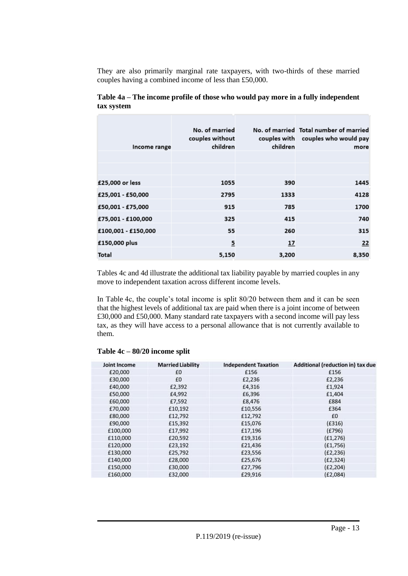They are also primarily marginal rate taxpayers, with two-thirds of these married couples having a combined income of less than £50,000.

| Income range        | No. of married<br>couples without<br>children | children | No. of married Total number of married<br>couples with couples who would pay<br>more |
|---------------------|-----------------------------------------------|----------|--------------------------------------------------------------------------------------|
|                     |                                               |          |                                                                                      |
|                     |                                               |          |                                                                                      |
| £25,000 or less     | 1055                                          | 390      | 1445                                                                                 |
| £25,001 - £50,000   | 2795                                          | 1333     | 4128                                                                                 |
| £50,001 - £75,000   | 915                                           | 785      | 1700                                                                                 |
| £75,001 - £100,000  | 325                                           | 415      | 740                                                                                  |
| £100,001 - £150,000 | 55                                            | 260      | 315                                                                                  |
| £150,000 plus       | $\overline{5}$                                | 17       | 22                                                                                   |
| <b>Total</b>        | 5,150                                         | 3,200    | 8,350                                                                                |

#### **Table 4a – The income profile of those who would pay more in a fully independent tax system**

Tables 4c and 4d illustrate the additional tax liability payable by married couples in any move to independent taxation across different income levels.

In Table 4c, the couple's total income is split 80/20 between them and it can be seen that the highest levels of additional tax are paid when there is a joint income of between £30,000 and £50,000. Many standard rate taxpayers with a second income will pay less tax, as they will have access to a personal allowance that is not currently available to them.

#### **Table 4c – 80/20 income split**

| <b>Joint Income</b> | <b>Married Liability</b> | <b>Independent Taxation</b> | Additional (reduction in) tax due |
|---------------------|--------------------------|-----------------------------|-----------------------------------|
| £20,000             | £0                       | £156                        | £156                              |
| £30,000             | £0                       | £2,236                      | £2,236                            |
| £40,000             | £2,392                   | £4,316                      | £1,924                            |
| £50,000             | £4,992                   | £6,396                      | £1,404                            |
| £60,000             | £7,592                   | £8,476                      | £884                              |
| £70,000             | £10,192                  | £10,556                     | £364                              |
| £80,000             | £12,792                  | £12,792                     | £0                                |
| £90,000             | £15,392                  | £15,076                     | (E316)                            |
| £100,000            | £17,992                  | £17,196                     | (E796)                            |
| £110,000            | £20,592                  | £19,316                     | (E1, 276)                         |
| £120,000            | £23,192                  | £21,436                     | (E1,756)                          |
| £130,000            | £25,792                  | £23,556                     | (E2, 236)                         |
| £140,000            | £28,000                  | £25,676                     | (E2, 324)                         |
| £150,000            | £30,000                  | £27,796                     | (E2, 204)                         |
| £160,000            | £32,000                  | £29,916                     | (E2,084)                          |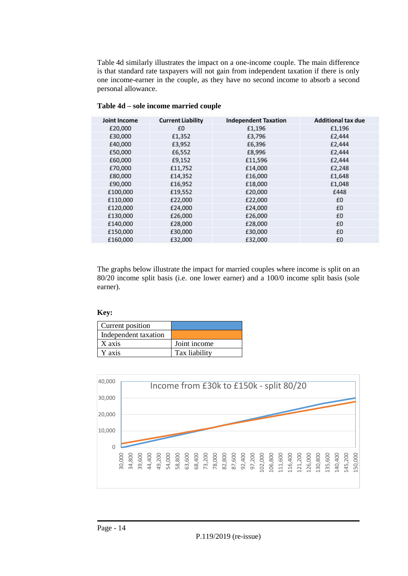Table 4d similarly illustrates the impact on a one-income couple. The main difference is that standard rate taxpayers will not gain from independent taxation if there is only one income-earner in the couple, as they have no second income to absorb a second personal allowance.

| <b>Joint Income</b> | <b>Current Liability</b> | <b>Independent Taxation</b> | <b>Additional tax due</b> |
|---------------------|--------------------------|-----------------------------|---------------------------|
| £20,000             | £0                       | £1,196                      | £1,196                    |
| £30,000             | £1,352                   | £3,796                      | £2,444                    |
| £40,000             | £3,952                   | £6,396                      | £2,444                    |
| £50,000             | £6,552                   | £8,996                      | £2,444                    |
| £60,000             | £9,152                   | £11,596                     | £2,444                    |
| £70,000             | £11,752                  | £14,000                     | £2,248                    |
| £80,000             | £14,352                  | £16,000                     | £1,648                    |
| £90,000             | £16,952                  | £18,000                     | £1,048                    |
| £100,000            | £19,552                  | £20,000                     | £448                      |
| £110,000            | £22,000                  | £22,000                     | £0                        |
| £120,000            | £24,000                  | £24,000                     | £0                        |
| £130,000            | £26,000                  | £26,000                     | £0                        |
| £140,000            | £28,000                  | £28,000                     | £0                        |
| £150,000            | £30,000                  | £30,000                     | £0                        |
| £160,000            | £32,000                  | £32,000                     | £0                        |

**Table 4d – sole income married couple**

The graphs below illustrate the impact for married couples where income is split on an 80/20 income split basis (i.e. one lower earner) and a 100/0 income split basis (sole earner).

#### **Key:**

| Current position     |               |
|----------------------|---------------|
| Independent taxation |               |
| X axis               | Joint income  |
| Y axis               | Tax liability |

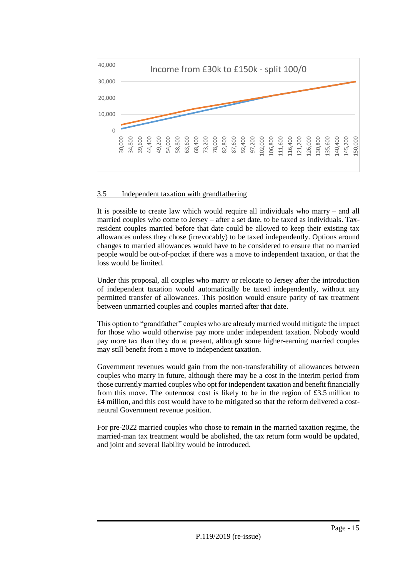

#### 3.5 Independent taxation with grandfathering

It is possible to create law which would require all individuals who marry – and all married couples who come to Jersey – after a set date, to be taxed as individuals. Taxresident couples married before that date could be allowed to keep their existing tax allowances unless they chose (irrevocably) to be taxed independently. Options around changes to married allowances would have to be considered to ensure that no married people would be out-of-pocket if there was a move to independent taxation, or that the loss would be limited.

Under this proposal, all couples who marry or relocate to Jersey after the introduction of independent taxation would automatically be taxed independently, without any permitted transfer of allowances. This position would ensure parity of tax treatment between unmarried couples and couples married after that date.

This option to "grandfather" couples who are already married would mitigate the impact for those who would otherwise pay more under independent taxation. Nobody would pay more tax than they do at present, although some higher-earning married couples may still benefit from a move to independent taxation.

Government revenues would gain from the non-transferability of allowances between couples who marry in future, although there may be a cost in the interim period from those currently married couples who opt for independent taxation and benefit financially from this move. The outermost cost is likely to be in the region of £3.5 million to £4 million, and this cost would have to be mitigated so that the reform delivered a costneutral Government revenue position.

For pre-2022 married couples who chose to remain in the married taxation regime, the married-man tax treatment would be abolished, the tax return form would be updated, and joint and several liability would be introduced.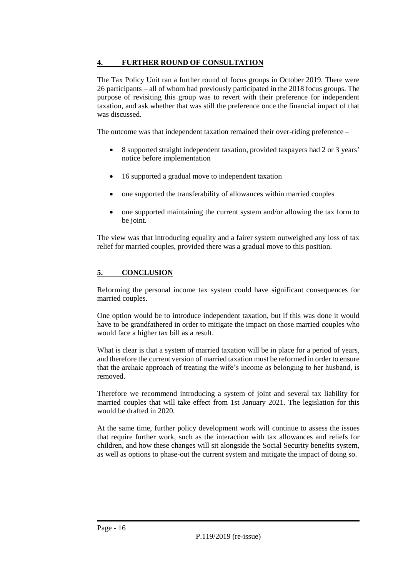#### **4. FURTHER ROUND OF CONSULTATION**

The Tax Policy Unit ran a further round of focus groups in October 2019. There were 26 participants – all of whom had previously participated in the 2018 focus groups. The purpose of revisiting this group was to revert with their preference for independent taxation, and ask whether that was still the preference once the financial impact of that was discussed.

The outcome was that independent taxation remained their over-riding preference –

- 8 supported straight independent taxation, provided taxpayers had 2 or 3 years' notice before implementation
- 16 supported a gradual move to independent taxation
- one supported the transferability of allowances within married couples
- one supported maintaining the current system and/or allowing the tax form to be joint.

The view was that introducing equality and a fairer system outweighed any loss of tax relief for married couples, provided there was a gradual move to this position.

#### **5. CONCLUSION**

Reforming the personal income tax system could have significant consequences for married couples.

One option would be to introduce independent taxation, but if this was done it would have to be grandfathered in order to mitigate the impact on those married couples who would face a higher tax bill as a result.

What is clear is that a system of married taxation will be in place for a period of years, and therefore the current version of married taxation must be reformed in order to ensure that the archaic approach of treating the wife's income as belonging to her husband, is removed.

Therefore we recommend introducing a system of joint and several tax liability for married couples that will take effect from 1st January 2021. The legislation for this would be drafted in 2020.

At the same time, further policy development work will continue to assess the issues that require further work, such as the interaction with tax allowances and reliefs for children, and how these changes will sit alongside the Social Security benefits system, as well as options to phase-out the current system and mitigate the impact of doing so.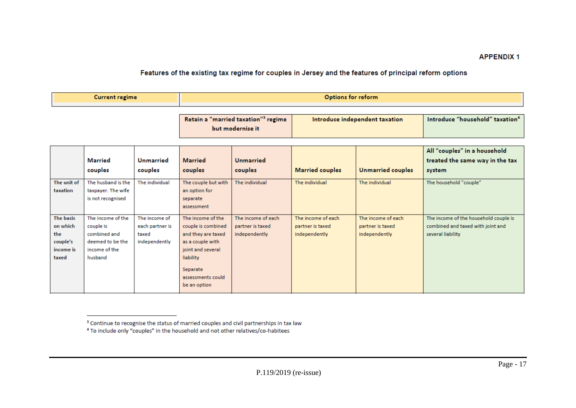#### Features of the existing tax regime for couples in Jersey and the features of principal reform options

| Current regime | Options for reform |
|----------------|--------------------|
|                |                    |

| Retain a "married taxation" <sup>3</sup> regime | Introduce independent taxation | Introduce "household" taxation <sup>4</sup> |
|-------------------------------------------------|--------------------------------|---------------------------------------------|
| but modernise it                                |                                |                                             |

|                  |                    |                 |                     |                    |                        |                          | All "couples" in a household          |
|------------------|--------------------|-----------------|---------------------|--------------------|------------------------|--------------------------|---------------------------------------|
|                  | Married            | Unmarried       | <b>Married</b>      | <b>Unmarried</b>   |                        |                          | treated the same way in the tax       |
|                  | couples            | couples         | couples             | couples            | <b>Married couples</b> | <b>Unmarried couples</b> | system                                |
| The unit of      | The husband is the | The individual  | The couple but with | The individual     | The individual         | The individual           | The household "couple"                |
| taxation         | taxpayer. The wife |                 | an option for       |                    |                        |                          |                                       |
|                  | is not recognised  |                 | separate            |                    |                        |                          |                                       |
|                  |                    |                 | assessment          |                    |                        |                          |                                       |
| <b>The basis</b> | The income of the  | The income of   | The income of the   | The income of each | The income of each     | The income of each       | The income of the household couple is |
| on which         | couple is          | each partner is | couple is combined  | partner is taxed   | partner is taxed       | partner is taxed         | combined and taxed with joint and     |
| the              | combined and       | taxed           | and they are taxed  | independently      | independently          | independently            | several liability                     |
| couple's         | deemed to be the   | independently   | as a couple with    |                    |                        |                          |                                       |
| income is        | income of the      |                 | joint and several   |                    |                        |                          |                                       |
| taxed            | husband            |                 | liability           |                    |                        |                          |                                       |
|                  |                    |                 | Separate            |                    |                        |                          |                                       |
|                  |                    |                 | assessments could   |                    |                        |                          |                                       |
|                  |                    |                 | be an option        |                    |                        |                          |                                       |
|                  |                    |                 |                     |                    |                        |                          |                                       |

<sup>&</sup>lt;sup>3</sup> Continue to recognise the status of married couples and civil partnerships in tax law

<sup>&</sup>lt;sup>4</sup> To include only "couples" in the household and not other relatives/co-habitees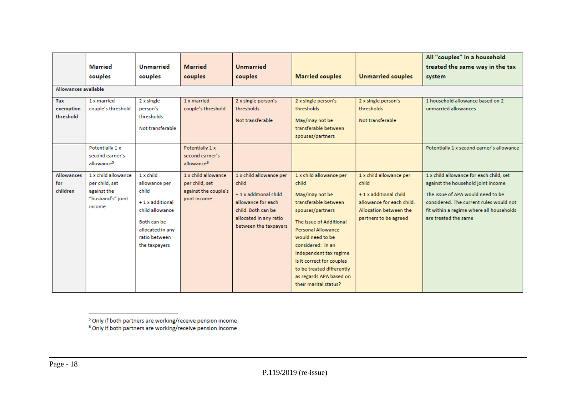|                                      |                                                                                     |                                                                                                                                                |                                                                               |                                                                                                                                                          |                                                                                                                                                                                                                                                                                                                                         |                                                                                                                                           | All "couples" in a household                                                                                                                                                                                                      |  |  |  |
|--------------------------------------|-------------------------------------------------------------------------------------|------------------------------------------------------------------------------------------------------------------------------------------------|-------------------------------------------------------------------------------|----------------------------------------------------------------------------------------------------------------------------------------------------------|-----------------------------------------------------------------------------------------------------------------------------------------------------------------------------------------------------------------------------------------------------------------------------------------------------------------------------------------|-------------------------------------------------------------------------------------------------------------------------------------------|-----------------------------------------------------------------------------------------------------------------------------------------------------------------------------------------------------------------------------------|--|--|--|
|                                      | <b>Married</b>                                                                      | <b>Unmarried</b>                                                                                                                               | <b>Married</b>                                                                | <b>Unmarried</b>                                                                                                                                         |                                                                                                                                                                                                                                                                                                                                         |                                                                                                                                           | treated the same way in the tax                                                                                                                                                                                                   |  |  |  |
|                                      | couples                                                                             | couples                                                                                                                                        | couples                                                                       | couples                                                                                                                                                  | <b>Married couples</b>                                                                                                                                                                                                                                                                                                                  | <b>Unmarried couples</b>                                                                                                                  | system                                                                                                                                                                                                                            |  |  |  |
|                                      | Allowances available                                                                |                                                                                                                                                |                                                                               |                                                                                                                                                          |                                                                                                                                                                                                                                                                                                                                         |                                                                                                                                           |                                                                                                                                                                                                                                   |  |  |  |
| Tax<br>exemption<br>threshold        | 1 x married<br>couple's threshold                                                   | 2 x single<br>person's<br>thresholds<br>Not transferable                                                                                       | 1 x married<br>couple's threshold                                             | 2 x single person's<br>thresholds<br>Not transferable                                                                                                    | 2 x single person's<br>thresholds<br>May/may not be<br>transferable between<br>spouses/partners                                                                                                                                                                                                                                         | 2 x single person's<br>thresholds<br>Not transferable                                                                                     | 1 household allowance based on 2<br>unmarried allowances                                                                                                                                                                          |  |  |  |
|                                      | Potentially 1 x<br>second earner's<br>allowance <sup>5</sup>                        |                                                                                                                                                | Potentially 1 x<br>second earner's<br>allowance <sup>6</sup>                  |                                                                                                                                                          |                                                                                                                                                                                                                                                                                                                                         |                                                                                                                                           | Potentially 1 x second earner's allowance                                                                                                                                                                                         |  |  |  |
| <b>Allowances</b><br>for<br>children | 1 x child allowance<br>per child, set<br>against the<br>"husband's" joint<br>income | 1 x child<br>allowance per<br>child<br>+1 x additional<br>child allowance<br>Both can be<br>allocated in any<br>ratio between<br>the taxpayers | 1 x child allowance<br>per child, set<br>against the couple's<br>joint income | 1 x child allowance per<br>child<br>+1 x additional child<br>allowance for each<br>child. Both can be<br>allocated in any ratio<br>between the taxpayers | 1 x child allowance per<br>child<br>May/may not be<br>transferable between<br>spouses/partners<br>The issue of Additional<br><b>Personal Allowance</b><br>would need to be<br>considered: In an<br>independent tax regime<br>is it correct for couples<br>to be treated differently<br>as regards APA based on<br>their marital status? | 1 x child allowance per<br>child<br>+1 x additional child<br>allowance for each child.<br>Allocation between the<br>partners to be agreed | 1 x child allowance for each child, set<br>against the household joint income<br>The issue of APA would need to be<br>considered. The current rules would not<br>fit within a regime where all households<br>are treated the same |  |  |  |

<sup>5</sup> Only if both partners are working/receive pension income<br><sup>6</sup> Only if both partners are working/receive pension income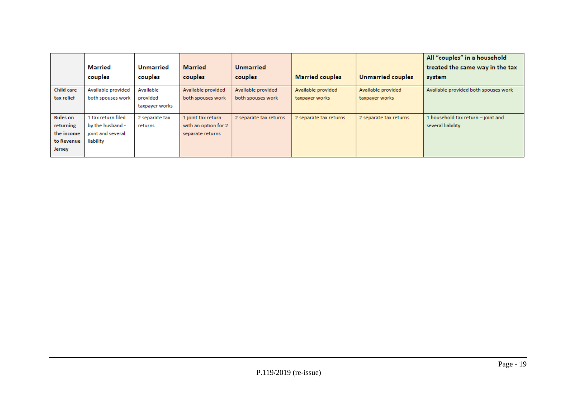|                   |                    |                  |                      |                        |                        |                        | All "couples" in a household         |
|-------------------|--------------------|------------------|----------------------|------------------------|------------------------|------------------------|--------------------------------------|
|                   | Married            | <b>Unmarried</b> | <b>Married</b>       | <b>Unmarried</b>       |                        |                        | treated the same way in the tax      |
|                   | couples            | couples          | couples              | couples                | <b>Married couples</b> | Unmarried couples      | system                               |
| <b>Child care</b> | Available provided | Available        | Available provided   | Available provided     | Available provided     | Available provided     | Available provided both spouses work |
| tax relief        | both spouses work  | provided         | both spouses work    | both spouses work      | taxpayer works         | taxpayer works         |                                      |
|                   |                    | taxpayer works   |                      |                        |                        |                        |                                      |
| <b>Rules</b> on   | 1 tax return filed | 2 separate tax   | 1 joint tax return   | 2 separate tax returns | 2 separate tax returns | 2 separate tax returns | 1 household tax return - joint and   |
| returning         | by the husband -   | returns          | with an option for 2 |                        |                        |                        | several liability                    |
| the income        | joint and several  |                  | separate returns     |                        |                        |                        |                                      |
| to Revenue        | liability          |                  |                      |                        |                        |                        |                                      |
| <b>Jersey</b>     |                    |                  |                      |                        |                        |                        |                                      |
|                   |                    |                  |                      |                        |                        |                        |                                      |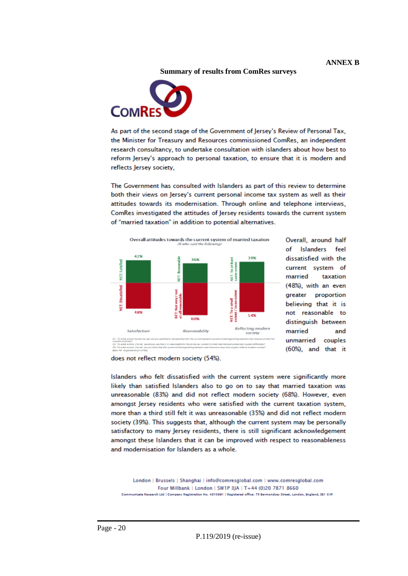**Summary of results from ComRes surveys**



As part of the second stage of the Government of Jersey's Review of Personal Tax, the Minister for Treasury and Resources commissioned ComRes, an independent research consultancy, to undertake consultation with islanders about how best to reform Jersey's approach to personal taxation, to ensure that it is modern and reflects Jersey society,

The Government has consulted with Islanders as part of this review to determine both their views on Jersey's current personal income tax system as well as their attitudes towards its modernisation. Through online and telephone interviews, ComRes investigated the attitudes of Jersey residents towards the current system of "married taxation" in addition to potential alternatives.





Overall, around half of Islanders feel dissatisfied with the current system of married taxation (48%), with an even greater proportion believing that it is not reasonable to distinguish between married and unmarried couples (60%), and that it

does not reflect modern society (54%).

Islanders who felt dissatisfied with the current system were significantly more likely than satisfied Islanders also to go on to say that married taxation was unreasonable (83%) and did not reflect modern society (68%). However, even amongst Jersey residents who were satisfied with the current taxation system, more than a third still felt it was unreasonable (35%) and did not reflect modern society (39%). This suggests that, although the current system may be personally satisfactory to many Jersey residents, there is still significant acknowledgement amongst these Islanders that it can be improved with respect to reasonableness and modernisation for Islanders as a whole.

London | Brussels | Shanghai | info@comresglobal.com | www.comresglobal.com Four Millbank | London | SW1P 3JA | T+44 (0)20 7871 8660 Communicate Research Ltd | Company Registration No. 4810991 | Registered office: 75 Bermondsey Street, London, England, SE1 8XF